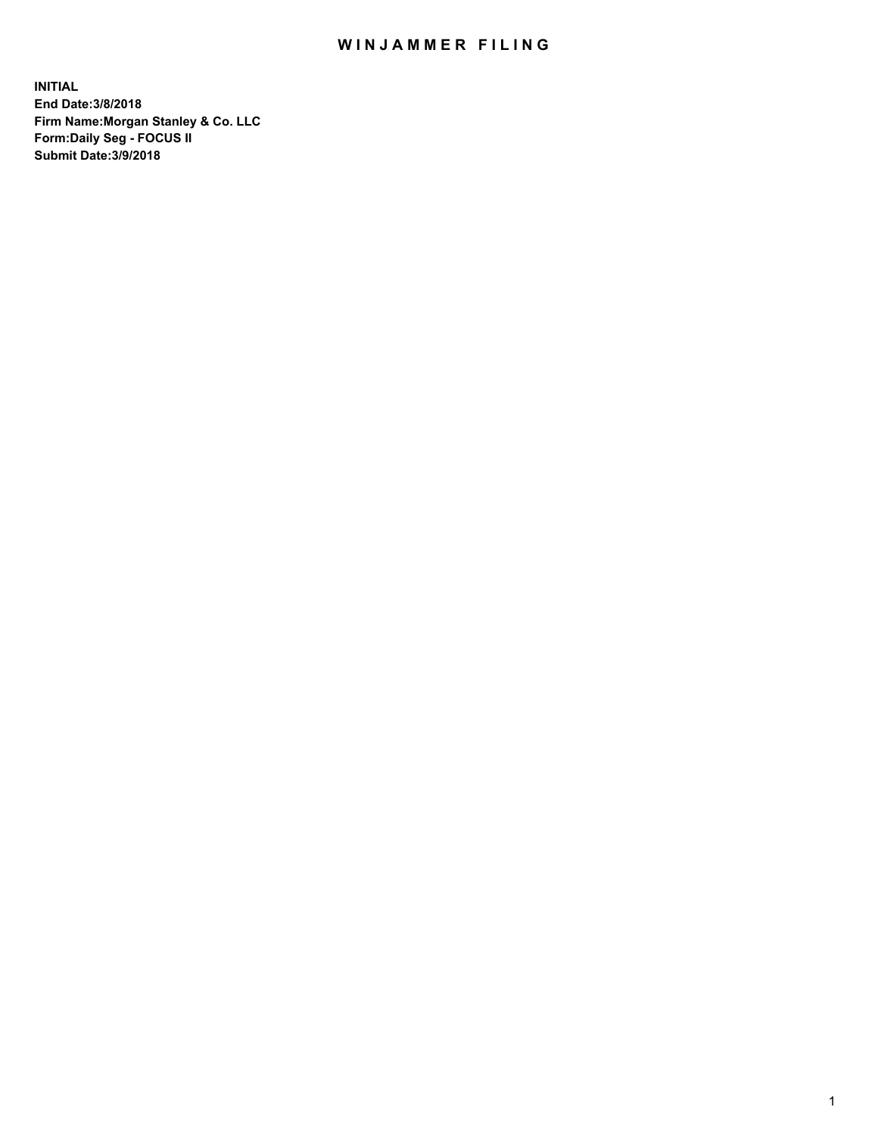## WIN JAMMER FILING

**INITIAL End Date:3/8/2018 Firm Name:Morgan Stanley & Co. LLC Form:Daily Seg - FOCUS II Submit Date:3/9/2018**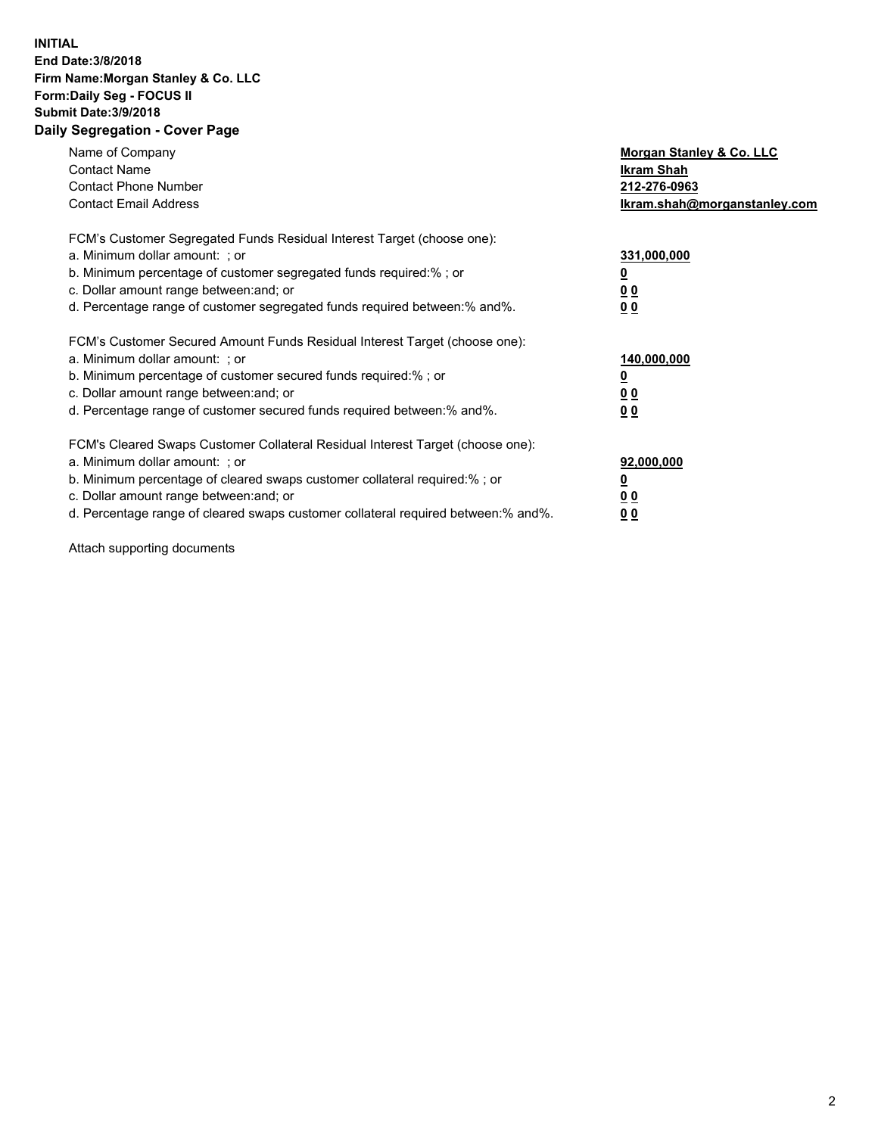## **INITIAL End Date:3/8/2018 Firm Name:Morgan Stanley & Co. LLC Form:Daily Seg - FOCUS II Submit Date:3/9/2018 Daily Segregation - Cover Page**

| Name of Company<br><b>Contact Name</b><br><b>Contact Phone Number</b><br><b>Contact Email Address</b>                                                                                                                                                                                                                          | Morgan Stanley & Co. LLC<br><b>Ikram Shah</b><br>212-276-0963<br>lkram.shah@morganstanley.com |
|--------------------------------------------------------------------------------------------------------------------------------------------------------------------------------------------------------------------------------------------------------------------------------------------------------------------------------|-----------------------------------------------------------------------------------------------|
| FCM's Customer Segregated Funds Residual Interest Target (choose one):<br>a. Minimum dollar amount: ; or<br>b. Minimum percentage of customer segregated funds required:%; or<br>c. Dollar amount range between: and; or<br>d. Percentage range of customer segregated funds required between:% and%.                          | 331,000,000<br>0 <sub>0</sub><br>0 <sub>0</sub>                                               |
| FCM's Customer Secured Amount Funds Residual Interest Target (choose one):<br>a. Minimum dollar amount: ; or<br>b. Minimum percentage of customer secured funds required:%; or<br>c. Dollar amount range between: and; or<br>d. Percentage range of customer secured funds required between:% and%.                            | 140,000,000<br>0 <sub>0</sub><br>0 <sub>0</sub>                                               |
| FCM's Cleared Swaps Customer Collateral Residual Interest Target (choose one):<br>a. Minimum dollar amount: ; or<br>b. Minimum percentage of cleared swaps customer collateral required:% ; or<br>c. Dollar amount range between: and; or<br>d. Percentage range of cleared swaps customer collateral required between:% and%. | 92,000,000<br>0 <sub>0</sub><br>0 <sub>0</sub>                                                |

Attach supporting documents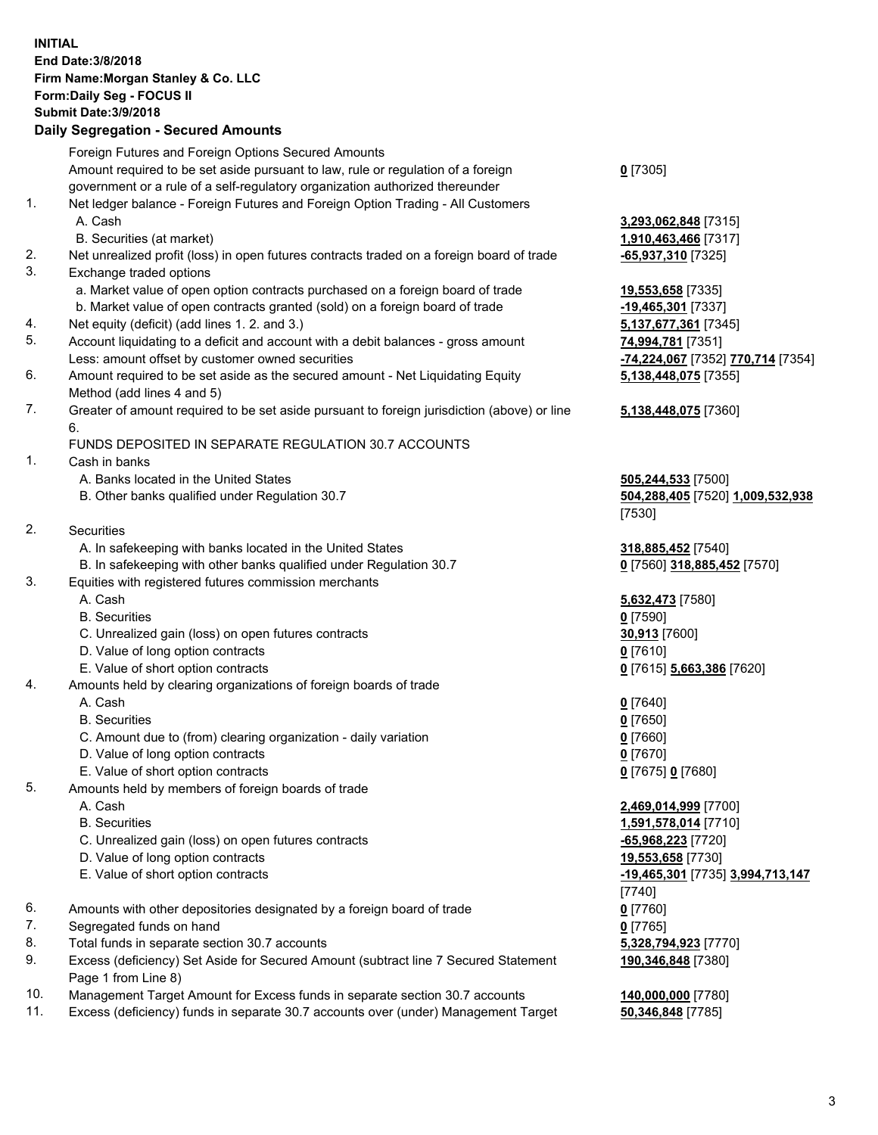## **INITIAL End Date:3/8/2018 Firm Name:Morgan Stanley & Co. LLC Form:Daily Seg - FOCUS II Submit Date:3/9/2018 Daily Segregation - Secured Amounts**

Foreign Futures and Foreign Options Secured Amounts Amount required to be set aside pursuant to law, rule or regulation of a foreign government or a rule of a self-regulatory organization authorized thereunder 1. Net ledger balance - Foreign Futures and Foreign Option Trading - All Customers A. Cash **3,293,062,848** [7315] B. Securities (at market) **1,910,463,466** [7317] 2. Net unrealized profit (loss) in open futures contracts traded on a foreign board of trade **-65,937,310** [7325] 3. Exchange traded options a. Market value of open option contracts purchased on a foreign board of trade **19,553,658** [7335] b. Market value of open contracts granted (sold) on a foreign board of trade **-19,465,301** [7337] 4. Net equity (deficit) (add lines 1. 2. and 3.) **5,137,677,361** [7345] 5. Account liquidating to a deficit and account with a debit balances - gross amount **74,994,781** [7351] Less: amount offset by customer owned securities **-74,224,067** [7352] **770,714** [7354] 6. Amount required to be set aside as the secured amount - Net Liquidating Equity Method (add lines 4 and 5) 7. Greater of amount required to be set aside pursuant to foreign jurisdiction (above) or line 6. FUNDS DEPOSITED IN SEPARATE REGULATION 30.7 ACCOUNTS 1. Cash in banks A. Banks located in the United States **505,244,533** [7500] B. Other banks qualified under Regulation 30.7 **504,288,405** [7520] **1,009,532,938** [7530] 2. Securities A. In safekeeping with banks located in the United States **318,885,452** [7540] B. In safekeeping with other banks qualified under Regulation 30.7 **0** [7560] **318,885,452** [7570] 3. Equities with registered futures commission merchants A. Cash **5,632,473** [7580] B. Securities **0** [7590] C. Unrealized gain (loss) on open futures contracts **30,913** [7600] D. Value of long option contracts **0** [7610] E. Value of short option contracts **0** [7615] **5,663,386** [7620] 4. Amounts held by clearing organizations of foreign boards of trade A. Cash **0** [7640] B. Securities **0** [7650] C. Amount due to (from) clearing organization - daily variation **0** [7660] D. Value of long option contracts **0** [7670] E. Value of short option contracts **0** [7675] **0** [7680] 5. Amounts held by members of foreign boards of trade A. Cash **2,469,014,999** [7700] B. Securities **1,591,578,014** [7710] C. Unrealized gain (loss) on open futures contracts **-65,968,223** [7720] D. Value of long option contracts **19,553,658** [7730] E. Value of short option contracts **-19,465,301** [7735] **3,994,713,147** [7740] 6. Amounts with other depositories designated by a foreign board of trade **0** [7760]

- 7. Segregated funds on hand **0** [7765]
- 8. Total funds in separate section 30.7 accounts **5,328,794,923** [7770]
- 9. Excess (deficiency) Set Aside for Secured Amount (subtract line 7 Secured Statement Page 1 from Line 8)
- 10. Management Target Amount for Excess funds in separate section 30.7 accounts **140,000,000** [7780]
- 11. Excess (deficiency) funds in separate 30.7 accounts over (under) Management Target **50,346,848** [7785]

**0** [7305]

**5,138,448,075** [7355]

## **5,138,448,075** [7360]

**190,346,848** [7380]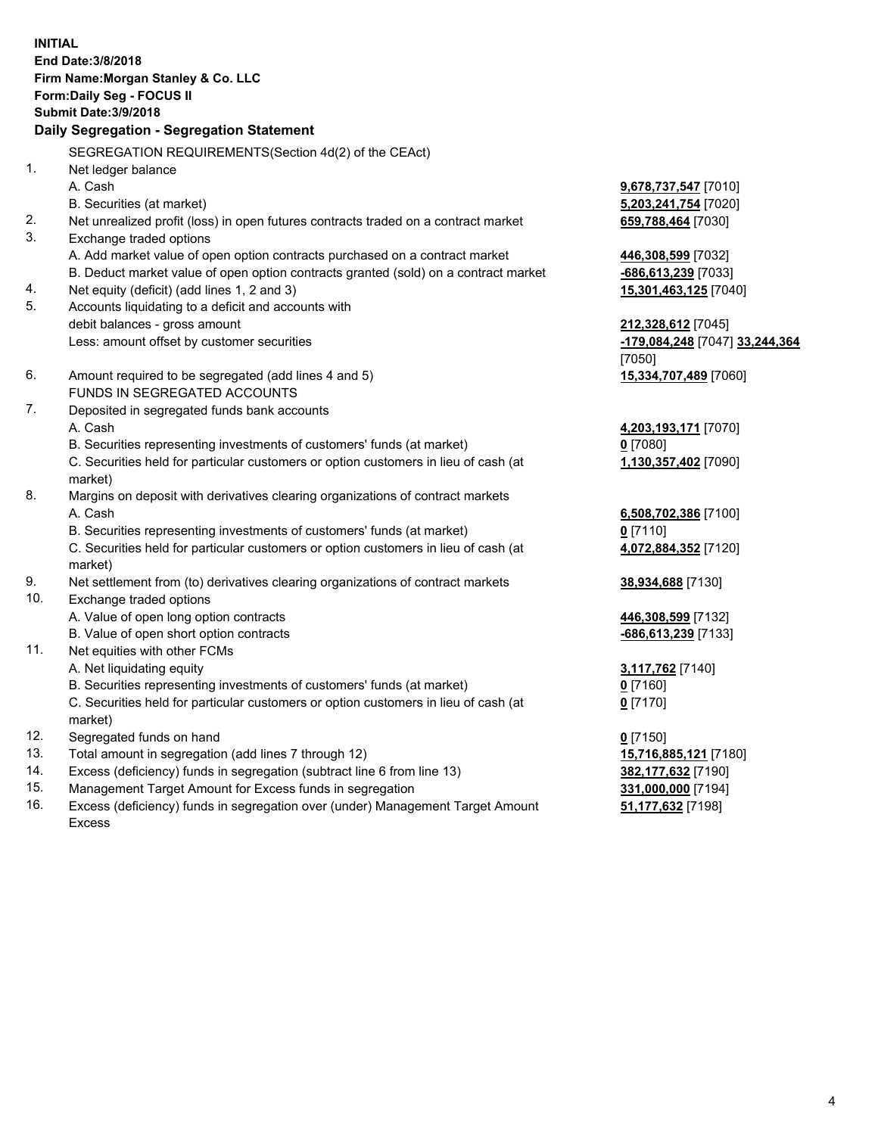**INITIAL End Date:3/8/2018 Firm Name:Morgan Stanley & Co. LLC Form:Daily Seg - FOCUS II Submit Date:3/9/2018 Daily Segregation - Segregation Statement** SEGREGATION REQUIREMENTS(Section 4d(2) of the CEAct) 1. Net ledger balance A. Cash **9,678,737,547** [7010] B. Securities (at market) **5,203,241,754** [7020] 2. Net unrealized profit (loss) in open futures contracts traded on a contract market **659,788,464** [7030] 3. Exchange traded options A. Add market value of open option contracts purchased on a contract market **446,308,599** [7032] B. Deduct market value of open option contracts granted (sold) on a contract market **-686,613,239** [7033] 4. Net equity (deficit) (add lines 1, 2 and 3) **15,301,463,125** [7040] 5. Accounts liquidating to a deficit and accounts with debit balances - gross amount **212,328,612** [7045] Less: amount offset by customer securities **-179,084,248** [7047] **33,244,364** [7050] 6. Amount required to be segregated (add lines 4 and 5) **15,334,707,489** [7060] FUNDS IN SEGREGATED ACCOUNTS 7. Deposited in segregated funds bank accounts A. Cash **4,203,193,171** [7070] B. Securities representing investments of customers' funds (at market) **0** [7080] C. Securities held for particular customers or option customers in lieu of cash (at market) **1,130,357,402** [7090] 8. Margins on deposit with derivatives clearing organizations of contract markets A. Cash **6,508,702,386** [7100] B. Securities representing investments of customers' funds (at market) **0** [7110] C. Securities held for particular customers or option customers in lieu of cash (at market) **4,072,884,352** [7120] 9. Net settlement from (to) derivatives clearing organizations of contract markets **38,934,688** [7130] 10. Exchange traded options A. Value of open long option contracts **446,308,599** [7132] B. Value of open short option contracts **and the set of open short option contracts -686,613,239** [7133] 11. Net equities with other FCMs A. Net liquidating equity **3,117,762** [7140] B. Securities representing investments of customers' funds (at market) **0** [7160] C. Securities held for particular customers or option customers in lieu of cash (at market) **0** [7170] 12. Segregated funds on hand **0** [7150] 13. Total amount in segregation (add lines 7 through 12) **15,716,885,121** [7180] 14. Excess (deficiency) funds in segregation (subtract line 6 from line 13) **382,177,632** [7190] 15. Management Target Amount for Excess funds in segregation **331,000,000** [7194]

16. Excess (deficiency) funds in segregation over (under) Management Target Amount Excess

**51,177,632** [7198]